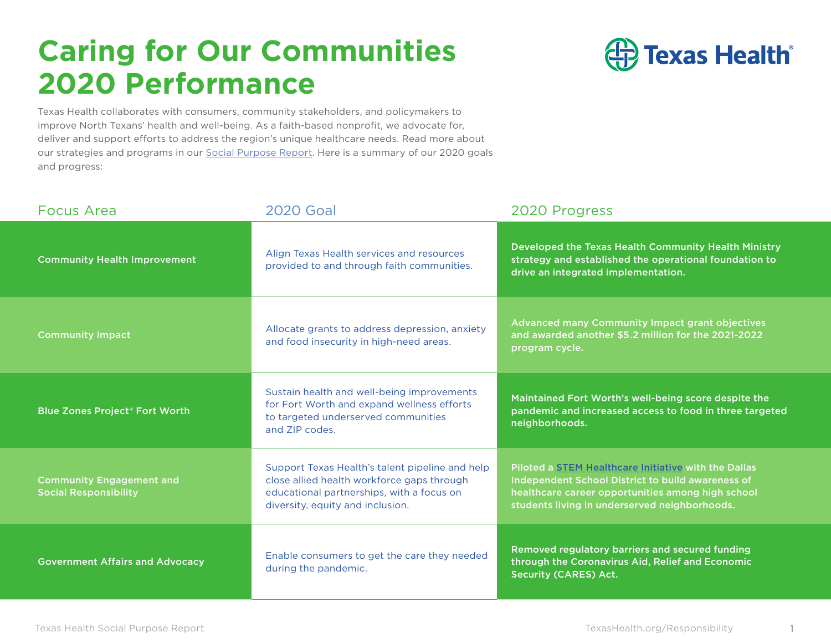## **Caring for Our Communities 2020 Performance**



Texas Health collaborates with consumers, community stakeholders, and policymakers to improve North Texans' health and well-being. As a faith-based nonprofit, we advocate for, deliver and support efforts to address the region's unique healthcare needs. Read more about our strategies and programs in our [Social Purpose Report.](https://www.texashealth.org/responsibility/) Here is a summary of our 2020 goals and progress:

| <b>Focus Area</b>                                               | <b>2020 Goal</b>                                                                                                                                                               | 2020 Progress                                                                                                                                                                                                   |  |
|-----------------------------------------------------------------|--------------------------------------------------------------------------------------------------------------------------------------------------------------------------------|-----------------------------------------------------------------------------------------------------------------------------------------------------------------------------------------------------------------|--|
| <b>Community Health Improvement</b>                             | Align Texas Health services and resources<br>provided to and through faith communities.                                                                                        | Developed the Texas Health Community Health Ministry<br>strategy and established the operational foundation to<br>drive an integrated implementation.                                                           |  |
| <b>Community Impact</b>                                         | Allocate grants to address depression, anxiety<br>and food insecurity in high-need areas.                                                                                      | Advanced many Community Impact grant objectives<br>and awarded another \$5.2 million for the 2021-2022<br>program cycle.                                                                                        |  |
| Blue Zones Project® Fort Worth                                  | Sustain health and well-being improvements<br>for Fort Worth and expand wellness efforts<br>to targeted underserved communities<br>and ZIP codes.                              | Maintained Fort Worth's well-being score despite the<br>pandemic and increased access to food in three targeted<br>neighborhoods.                                                                               |  |
| <b>Community Engagement and</b><br><b>Social Responsibility</b> | Support Texas Health's talent pipeline and help<br>close allied health workforce gaps through<br>educational partnerships, with a focus on<br>diversity, equity and inclusion. | Piloted a STEM Healthcare Initiative with the Dallas<br>Independent School District to build awareness of<br>healthcare career opportunities among high school<br>students living in underserved neighborhoods. |  |
| <b>Government Affairs and Advocacy</b>                          | Enable consumers to get the care they needed<br>during the pandemic.                                                                                                           | Removed regulatory barriers and secured funding<br>through the Coronavirus Aid, Relief and Economic<br><b>Security (CARES) Act.</b>                                                                             |  |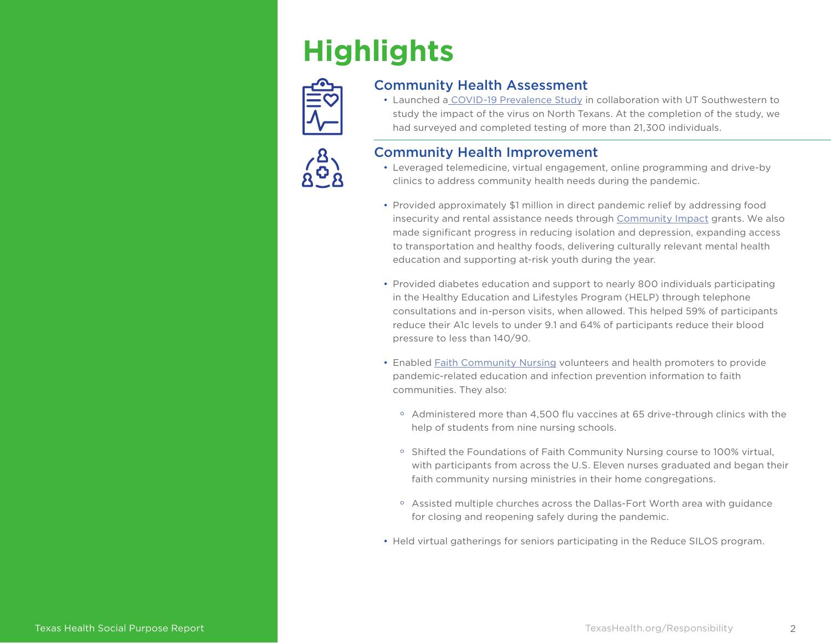# **Highlights**



#### Community Health Assessment

• Launched [a COVID-19 Prevalence Study](https://www.texashealth.org/responsibility/Our-Communities/Improving-Community-Health#PrevalenceStudy ) in collaboration with UT Southwestern to study the impact of the virus on North Texans. At the completion of the study, we had surveyed and completed testing of more than 21,300 individuals.



#### Community Health Improvement

- Leveraged telemedicine, virtual engagement, online programming and drive-by clinics to address community health needs during the pandemic.
- Provided approximately \$1 million in direct pandemic relief by addressing food insecurity and rental assistance needs through [Community Impact](https://www.texashealth.org/Community-Health/Community-Impact) grants. We also made significant progress in reducing isolation and depression, expanding access to transportation and healthy foods, delivering culturally relevant mental health education and supporting at-risk youth during the year.
- Provided diabetes education and support to nearly 800 individuals participating in the Healthy Education and Lifestyles Program (HELP) through telephone consultations and in-person visits, when allowed. This helped 59% of participants reduce their A1c levels to under 9.1 and 64% of participants reduce their blood pressure to less than 140/90.
- Enabled [Faith Community Nursing](https://www.texashealth.org/About-Texas-Health/Faith-and-Spirituality/Faith-and-Spirituality-Community-Nursing) volunteers and health promoters to provide pandemic-related education and infection prevention information to faith communities. They also:
	- o Administered more than 4,500 flu vaccines at 65 drive-through clinics with the help of students from nine nursing schools.
	- o Shifted the Foundations of Faith Community Nursing course to 100% virtual, with participants from across the U.S. Eleven nurses graduated and began their faith community nursing ministries in their home congregations.
	- o Assisted multiple churches across the Dallas-Fort Worth area with guidance for closing and reopening safely during the pandemic.
- Held virtual gatherings for seniors participating in the Reduce SILOS program.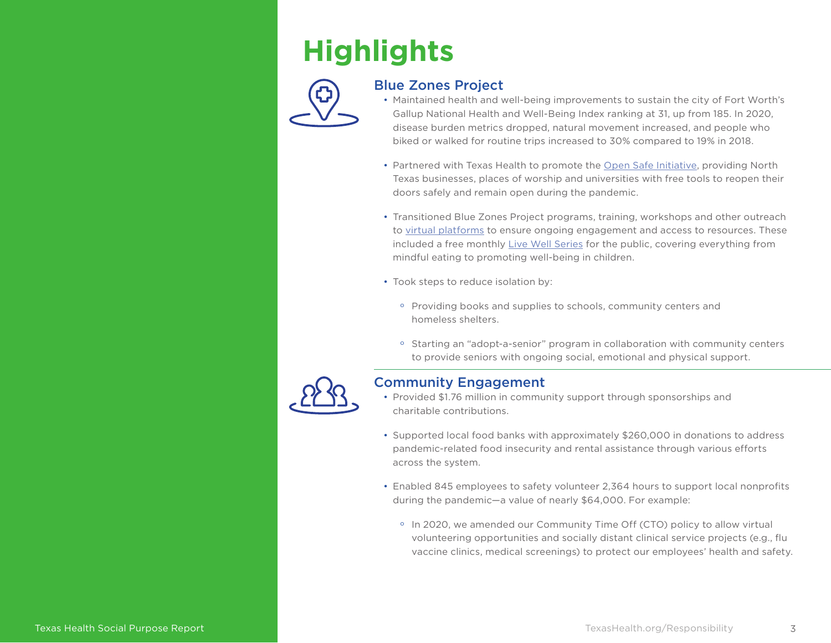# **Highlights**



### Blue Zones Project

- Maintained health and well-being improvements to sustain the city of Fort Worth's Gallup National Health and Well-Being Index ranking at 31, up from 185. In 2020, disease burden metrics dropped, natural movement increased, and people who biked or walked for routine trips increased to 30% compared to 19% in 2018.
- Partnered with Texas Health to promote the [Open Safe Initiative](https://www.texashealth.org/Back-to-Work-Guidelines), providing North Texas businesses, places of worship and universities with free tools to reopen their doors safely and remain open during the pandemic.
- Transitioned Blue Zones Project programs, training, workshops and other outreach to [virtual platforms](https://www.texashealth.org/About-Texas-Health/Community-Update/Program-Spotlight-Blue-Zones-Project-Takes-Well-Being-Virtual) to ensure ongoing engagement and access to resources. These included a free monthly [Live Well Series](https://www.youtube.com/channel/UCFJDj4iUNIvaBSuig0lZQeA) for the public, covering everything from mindful eating to promoting well-being in children.
- Took steps to reduce isolation by:
	- o Providing books and supplies to schools, community centers and homeless shelters.
	- o Starting an "adopt-a-senior" program in collaboration with community centers to provide seniors with ongoing social, emotional and physical support.



#### Community Engagement

- Provided \$1.76 million in community support through sponsorships and charitable contributions.
- Supported local food banks with approximately \$260,000 in donations to address pandemic-related food insecurity and rental assistance through various efforts across the system.
- Enabled 845 employees to safety volunteer 2,364 hours to support local nonprofits during the pandemic—a value of nearly \$64,000. For example:
	- o In 2020, we amended our Community Time Off (CTO) policy to allow virtual volunteering opportunities and socially distant clinical service projects (e.g., flu vaccine clinics, medical screenings) to protect our employees' health and safety.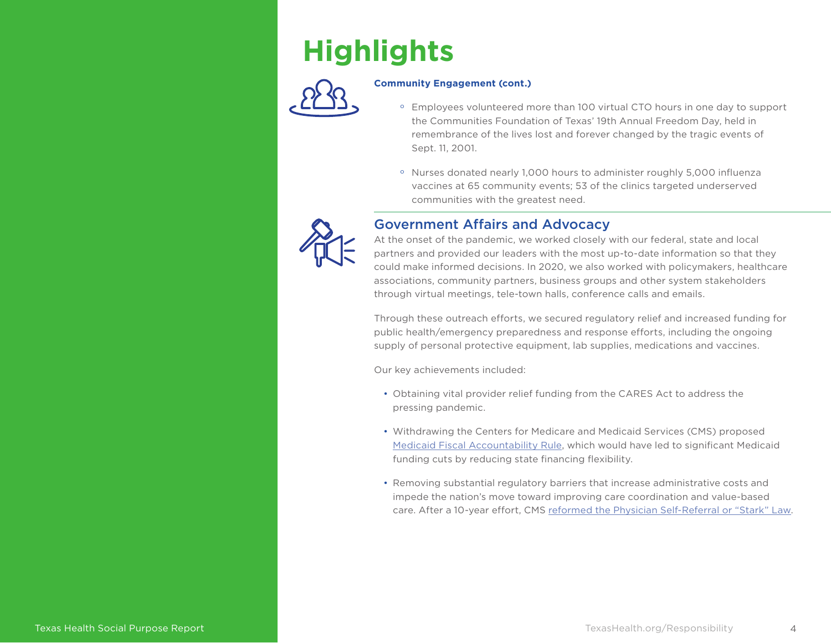# **Highlights**



#### **Community Engagement (cont.)**

- o Employees volunteered more than 100 virtual CTO hours in one day to support the Communities Foundation of Texas' 19th Annual Freedom Day, held in remembrance of the lives lost and forever changed by the tragic events of Sept. 11, 2001.
- o Nurses donated nearly 1,000 hours to administer roughly 5,000 influenza vaccines at 65 community events; 53 of the clinics targeted underserved communities with the greatest need.



#### Government Affairs and Advocacy

At the onset of the pandemic, we worked closely with our federal, state and local partners and provided our leaders with the most up-to-date information so that they could make informed decisions. In 2020, we also worked with policymakers, healthcare associations, community partners, business groups and other system stakeholders through virtual meetings, tele-town halls, conference calls and emails.

Through these outreach efforts, we secured regulatory relief and increased funding for public health/emergency preparedness and response efforts, including the ongoing supply of personal protective equipment, lab supplies, medications and vaccines.

Our key achievements included:

- Obtaining vital provider relief funding from the CARES Act to address the pressing pandemic.
- Withdrawing the Centers for Medicare and Medicaid Services (CMS) proposed [Medicaid Fiscal Accountability Rule,](https://healthpayerintelligence.com/news/cms-rescinds-controversial-medicaid-fiscal-accountability-rule) which would have led to significant Medicaid funding cuts by reducing state financing flexibility.
- Removing substantial regulatory barriers that increase administrative costs and impede the nation's move toward improving care coordination and value-based care. After a 10-year effort, CMS [reformed the Physician Self-Referral or "Stark" Law.](https://www.cms.gov/newsroom/press-releases/cms-announces-historic-changes-physician-self-referral-regulations)